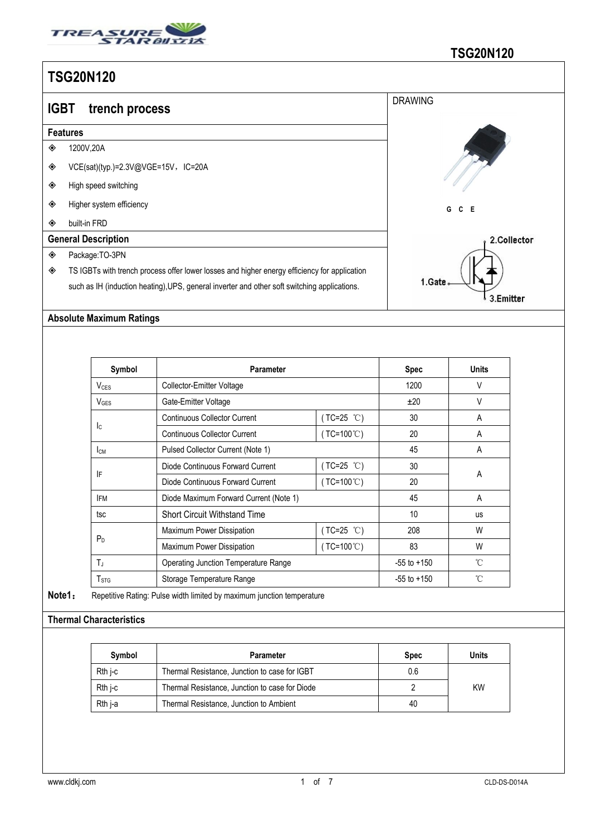

| I UUZUN IZU |                                                                                              |                |  |  |  |  |  |  |
|-------------|----------------------------------------------------------------------------------------------|----------------|--|--|--|--|--|--|
| <b>IGBT</b> | trench process                                                                               | <b>DRAWING</b> |  |  |  |  |  |  |
|             | <b>Features</b>                                                                              |                |  |  |  |  |  |  |
| ◈           | 1200V,20A                                                                                    |                |  |  |  |  |  |  |
| ◈           | VCE(sat)(typ.)=2.3V@VGE=15V,IC=20A                                                           |                |  |  |  |  |  |  |
| ◈           | High speed switching                                                                         |                |  |  |  |  |  |  |
| ◈           | Higher system efficiency                                                                     | G<br>C E       |  |  |  |  |  |  |
| ◈           | built-in FRD                                                                                 |                |  |  |  |  |  |  |
|             | <b>General Description</b>                                                                   | 2.Collector    |  |  |  |  |  |  |
| ◈           | Package:TO-3PN                                                                               |                |  |  |  |  |  |  |
| ◈           | TS IGBTs with trench process offer lower losses and higher energy efficiency for application |                |  |  |  |  |  |  |
|             | such as IH (induction heating), UPS, general inverter and other soft switching applications. | 1.Gate.        |  |  |  |  |  |  |
|             |                                                                                              | 3.Emitter      |  |  |  |  |  |  |

#### **Absolute Maximum Ratings**

| Symbol                 | <b>Parameter</b>                            |                     | <b>Spec</b>     | <b>Units</b> |  |
|------------------------|---------------------------------------------|---------------------|-----------------|--------------|--|
| V <sub>CES</sub>       | Collector-Emitter Voltage                   |                     | 1200            | V            |  |
| $V_{\text{GES}}$       | Gate-Emitter Voltage                        |                     | ±20             | $\vee$       |  |
|                        | <b>Continuous Collector Current</b>         | $(TC=25 °C)$        | 30              | A            |  |
| Ic.                    | <b>Continuous Collector Current</b>         | $(TC=100^{\circ}C)$ | 20              | A            |  |
| <b>I</b> <sub>CM</sub> | Pulsed Collector Current (Note 1)           |                     | 45              | A            |  |
|                        | Diode Continuous Forward Current            | $(TC=25 °C)$        | 30              |              |  |
| IF                     | Diode Continuous Forward Current            | $(TC=100^{\circ}C)$ | 20              | A            |  |
| <b>IFM</b>             | Diode Maximum Forward Current (Note 1)      |                     | 45              | A            |  |
| tsc                    | <b>Short Circuit Withstand Time</b>         |                     | 10              | <b>us</b>    |  |
|                        | Maximum Power Dissipation                   | (TC=25 ℃)           | 208             | W            |  |
| P <sub>D</sub>         | Maximum Power Dissipation                   | $(TC=100^{\circ}C)$ | 83              | W            |  |
| $T_J$                  | <b>Operating Junction Temperature Range</b> |                     | $-55$ to $+150$ | °C           |  |
| T <sub>STG</sub>       | Storage Temperature Range                   |                     | $-55$ to $+150$ | °C           |  |

**Note1**: Repetitive Rating: Pulse width limited by maximum junction temperature

### **Thermal Characteristics**

| Symbol  | Parameter                                      | <b>Spec</b> | Units     |
|---------|------------------------------------------------|-------------|-----------|
| Rth i-c | Thermal Resistance, Junction to case for IGBT  | 0.6         |           |
| Rth i-c | Thermal Resistance, Junction to case for Diode |             | <b>KW</b> |
| Rth j-a | Thermal Resistance, Junction to Ambient        | 40          |           |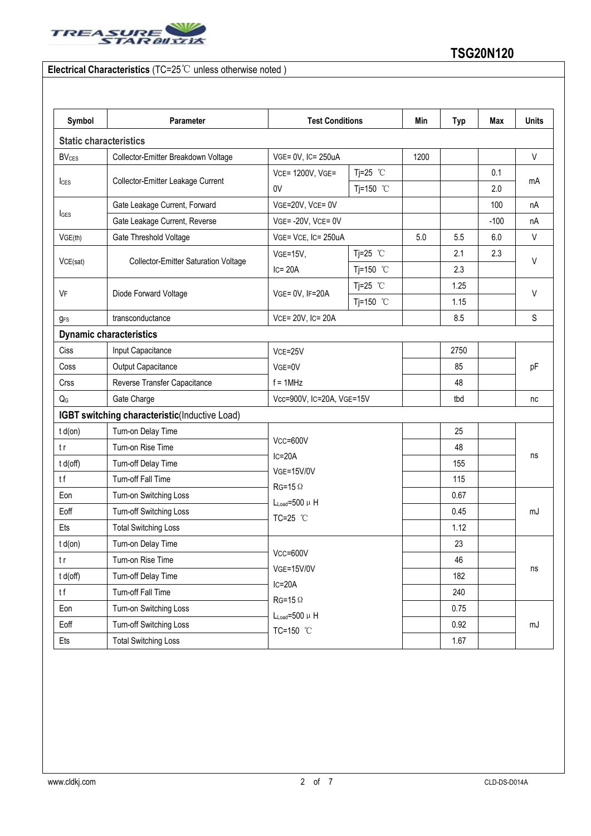

## **Electrical Characteristics** (TC=25℃ unless otherwise noted )

| Symbol                  | Parameter                                     | <b>Test Conditions</b>                            |                     | Min  | <b>Typ</b> | Max    | <b>Units</b> |
|-------------------------|-----------------------------------------------|---------------------------------------------------|---------------------|------|------------|--------|--------------|
|                         | <b>Static characteristics</b>                 |                                                   |                     |      |            |        |              |
| <b>BV<sub>CES</sub></b> | Collector-Emitter Breakdown Voltage           | VGE= 0V, IC= 250uA                                |                     | 1200 |            |        | $\vee$       |
|                         | Collector-Emitter Leakage Current             | Tj=25 $°C$<br>VCE= 1200V, VGE=                    |                     |      |            | 0.1    |              |
| $l_{\text{CES}}$        |                                               | 0V                                                | Tj=150 $^{\circ}$ C |      |            | 2.0    | mA           |
|                         | Gate Leakage Current, Forward                 | VGE=20V, VCE= 0V                                  |                     |      |            | 100    | nA           |
| <b>I</b> GES            | Gate Leakage Current, Reverse                 | VGE=-20V, VCE=0V                                  |                     |      |            | $-100$ | nA           |
| VGE(th)                 | Gate Threshold Voltage                        | VGE= VCE, IC= 250uA                               |                     | 5.0  | 5.5        | 6.0    | V            |
|                         | <b>Collector-Emitter Saturation Voltage</b>   | $VGE=15V,$                                        | Tj=25 $°C$          |      | 2.1        | 2.3    | V            |
| VCE(sat)                |                                               | $IC = 20A$                                        | Tj=150 °C           |      | 2.3        |        |              |
|                         | Diode Forward Voltage                         | VGE= 0V, IF=20A                                   | Tj=25 $°C$          |      | 1.25       |        | $\vee$       |
| VF                      |                                               |                                                   | Tj=150 °C           |      | 1.15       |        |              |
| <b>gFS</b>              | transconductance                              | VCE= 20V, IC= 20A                                 |                     |      | 8.5        |        | S            |
|                         | <b>Dynamic characteristics</b>                |                                                   |                     |      |            |        |              |
| Ciss                    | Input Capacitance                             | VCE=25V<br>VGE=0V<br>$f = 1$ MHz                  |                     |      | 2750       |        | pF           |
| Coss                    | Output Capacitance                            |                                                   |                     |      | 85         |        |              |
| Crss                    | Reverse Transfer Capacitance                  |                                                   |                     |      | 48         |        |              |
| $Q_{G}$                 | Gate Charge                                   | Vcc=900V, IC=20A, VGE=15V                         |                     |      | tbd        |        | nc           |
|                         | IGBT switching characteristic(Inductive Load) |                                                   |                     |      |            |        |              |
| $t d($ on $)$           | Turn-on Delay Time                            |                                                   |                     | 25   |            |        |              |
| t r                     | Turn-on Rise Time                             | $Vcc = 600V$                                      |                     |      | 48         |        |              |
| t d(off)                | Turn-off Delay Time                           | $IC = 20A$<br><b>VGE=15V/0V</b><br>$RG=15 \Omega$ |                     |      | 155        |        | ns           |
| tf                      | Turn-off Fall Time                            |                                                   |                     |      | 115        |        |              |
| Eon                     | Turn-on Switching Loss                        | $L_{Load} = 500 \mu H$                            |                     |      | 0.67       |        |              |
| Eoff                    | Turn-off Switching Loss                       | TC=25 °C                                          |                     |      | 0.45       |        | mJ           |
| Ets                     | <b>Total Switching Loss</b>                   |                                                   |                     |      | 1.12       |        |              |
| $t d($ on $)$           | Turn-on Delay Time                            | $Vcc = 600V$                                      |                     |      | 23         |        |              |
| t r                     | Turn-on Rise Time                             |                                                   |                     |      | 46         |        |              |
| t d(off)                | Turn-off Delay Time                           | <b>VGE=15V/0V</b>                                 |                     |      | 182        |        | ns           |
| tf                      | Turn-off Fall Time                            | $IC=20A$<br>$RG=15 \Omega$                        |                     |      | 240        |        |              |
| Eon                     | Turn-on Switching Loss                        | $L_{Load} = 500 \mu H$                            |                     |      | 0.75       |        |              |
| Eoff                    | Turn-off Switching Loss                       | TC=150 °C                                         |                     |      | 0.92       |        | mJ           |
| Ets                     | <b>Total Switching Loss</b>                   |                                                   |                     |      | 1.67       |        |              |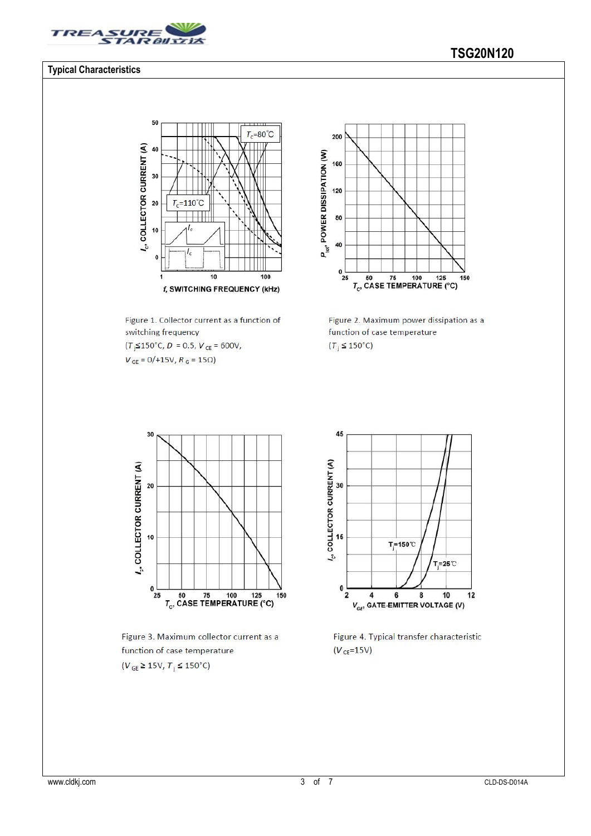

#### **Typical Characteristics**

#### 50  $\overline{\mathbf{u}}$  $T_c = 80^{\circ}C$  $l_c$ , COLLECTOR CURRENT (A) 40 30  $=110^{\circ}C$ 20 T, 10  $\mathbf{0}$  $\overline{10}$  $\frac{1}{100}$ 1 f, SWITCHING FREQUENCY (kHz)

Figure 1. Collector current as a function of switching frequency  $(T<sub>j</sub> \le 150^{\circ} \text{C}, D = 0.5, V<sub>CE</sub> = 600 \text{V},$ 

 $V_{GE} = 0/+15V, R_G = 15\Omega$ 



Figure 2. Maximum power dissipation as a function of case temperature  $(T_i \leq 150^{\circ}C)$ 



Figure 3. Maximum collector current as a function of case temperature  $(V_{GE} \ge 15V, T_j \le 150^{\circ}C)$ 



Figure 4. Typical transfer characteristic  $(V_{CE} = 15V)$ 

## **TSG20N120**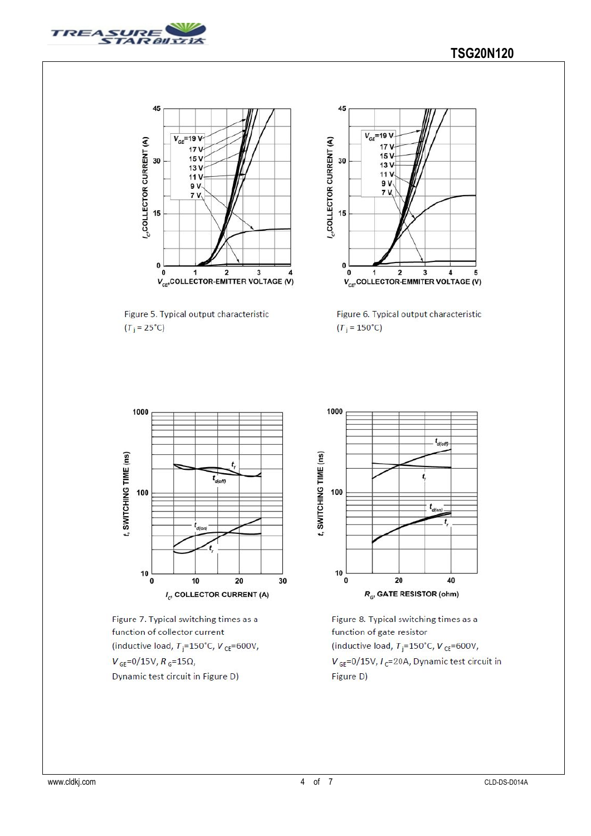



Figure 5. Typical output characteristic  $(T_j = 25^{\circ}C)$ 



Figure 6. Typical output characteristic  $(T_j = 150^{\circ}C)$ 







Figure 8. Typical switching times as a function of gate resistor (inductive load,  $T_i = 150^{\circ}$ C,  $V_{CE} = 600V$ ,  $V_{GE}$ =0/15V,  $I_c$ =20A, Dynamic test circuit in Figure D)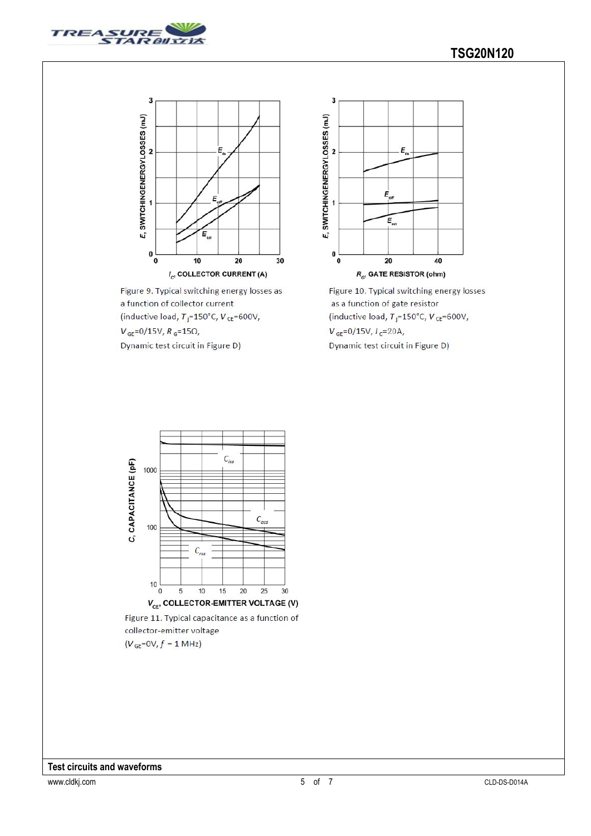



Figure 9. Typical switching energy losses as a function of collector current (inductive load,  $T_i = 150^{\circ}$ C,  $V_{CE} = 600V$ ,  $V_{GE} = 0/15V, R_G = 15\Omega,$ Dynamic test circuit in Figure D)



Figure 10. Typical switching energy losses as a function of gate resistor (inductive load,  $T_i = 150^{\circ}$ C,  $V_{CE} = 600V$ ,  $V_{GE} = 0/15V, I_C = 20A,$ Dynamic test circuit in Figure D)

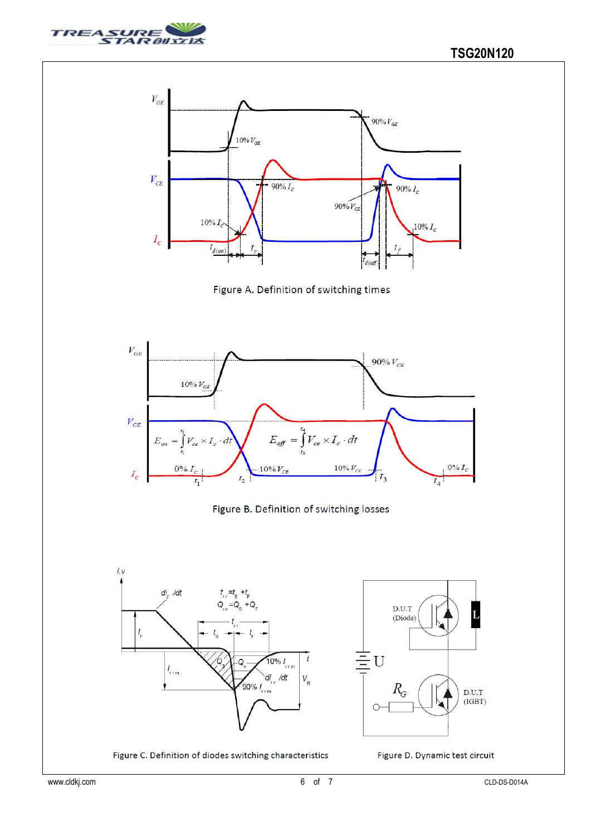